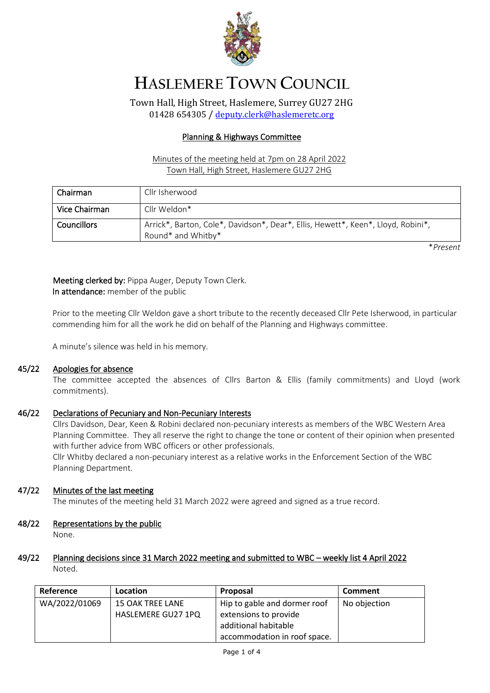

# **HASLEMERE TOWN COUNCIL**

Town Hall, High Street, Haslemere, Surrey GU27 2HG 01428 654305 / [deputy.clerk@haslemeretc.org](mailto:deputy.clerk@haslemeretc.org)

#### Planning & Highways Committee

## Minutes of the meeting held at 7pm on 28 April 2022 Town Hall, High Street, Haslemere GU27 2HG

| Chairman      | Cllr Isherwood                                                                                         |
|---------------|--------------------------------------------------------------------------------------------------------|
| Vice Chairman | Cllr Weldon*                                                                                           |
| Councillors   | Arrick*, Barton, Cole*, Davidson*, Dear*, Ellis, Hewett*, Keen*, Lloyd, Robini*,<br>Round* and Whitby* |

\**Present*

# Meeting clerked by: Pippa Auger, Deputy Town Clerk. In attendance: member of the public

Prior to the meeting Cllr Weldon gave a short tribute to the recently deceased Cllr Pete Isherwood, in particular commending him for all the work he did on behalf of the Planning and Highways committee.

A minute's silence was held in his memory.

#### 45/22 Apologies for absence

The committee accepted the absences of Cllrs Barton & Ellis (family commitments) and Lloyd (work commitments).

#### 46/22 Declarations of Pecuniary and Non-Pecuniary Interests

Cllrs Davidson, Dear, Keen & Robini declared non-pecuniary interests as members of the WBC Western Area Planning Committee. They all reserve the right to change the tone or content of their opinion when presented with further advice from WBC officers or other professionals.

Cllr Whitby declared a non-pecuniary interest as a relative works in the Enforcement Section of the WBC Planning Department.

## 47/22 Minutes of the last meeting

The minutes of the meeting held 31 March 2022 were agreed and signed as a true record.

## 48/22 Representations by the public

None.

## 49/22 Planning decisions since 31 March 2022 meeting and submitted to WBC – weekly list 4 April 2022 Noted.

| Reference     | Location           | Proposal                     | <b>Comment</b> |
|---------------|--------------------|------------------------------|----------------|
| WA/2022/01069 | 15 OAK TREE LANE   | Hip to gable and dormer roof | No objection   |
|               | HASLEMERE GU27 1PQ | extensions to provide        |                |
|               |                    | additional habitable         |                |
|               |                    | accommodation in roof space. |                |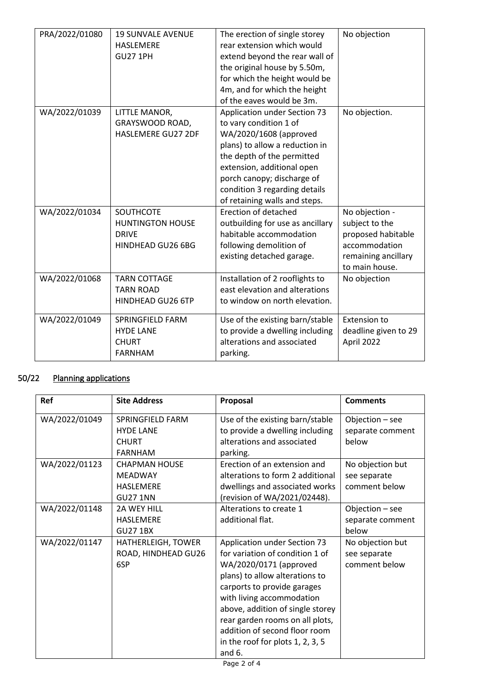| PRA/2022/01080 | <b>19 SUNVALE AVENUE</b>  | The erection of single storey    | No objection         |
|----------------|---------------------------|----------------------------------|----------------------|
|                | <b>HASLEMERE</b>          | rear extension which would       |                      |
|                | <b>GU27 1PH</b>           | extend beyond the rear wall of   |                      |
|                |                           | the original house by 5.50m,     |                      |
|                |                           | for which the height would be    |                      |
|                |                           | 4m, and for which the height     |                      |
|                |                           | of the eaves would be 3m.        |                      |
| WA/2022/01039  | LITTLE MANOR,             | Application under Section 73     | No objection.        |
|                | GRAYSWOOD ROAD,           | to vary condition 1 of           |                      |
|                | <b>HASLEMERE GU27 2DF</b> | WA/2020/1608 (approved           |                      |
|                |                           | plans) to allow a reduction in   |                      |
|                |                           | the depth of the permitted       |                      |
|                |                           | extension, additional open       |                      |
|                |                           | porch canopy; discharge of       |                      |
|                |                           | condition 3 regarding details    |                      |
|                |                           | of retaining walls and steps.    |                      |
| WA/2022/01034  | <b>SOUTHCOTE</b>          | Erection of detached             | No objection -       |
|                | <b>HUNTINGTON HOUSE</b>   | outbuilding for use as ancillary | subject to the       |
|                | <b>DRIVE</b>              | habitable accommodation          | proposed habitable   |
|                | HINDHEAD GU26 6BG         | following demolition of          | accommodation        |
|                |                           | existing detached garage.        | remaining ancillary  |
|                |                           |                                  | to main house.       |
| WA/2022/01068  | <b>TARN COTTAGE</b>       | Installation of 2 rooflights to  | No objection         |
|                | <b>TARN ROAD</b>          | east elevation and alterations   |                      |
|                | HINDHEAD GU26 6TP         | to window on north elevation.    |                      |
| WA/2022/01049  | <b>SPRINGFIELD FARM</b>   | Use of the existing barn/stable  | <b>Extension to</b>  |
|                | <b>HYDE LANE</b>          | to provide a dwelling including  | deadline given to 29 |
|                | <b>CHURT</b>              | alterations and associated       | April 2022           |
|                | <b>FARNHAM</b>            | parking.                         |                      |
|                |                           |                                  |                      |

## 50/22 Planning applications

| Ref           | <b>Site Address</b>                                                           | Proposal                                                                                                                                                                                                                                                                                                                                          | <b>Comments</b>                                   |
|---------------|-------------------------------------------------------------------------------|---------------------------------------------------------------------------------------------------------------------------------------------------------------------------------------------------------------------------------------------------------------------------------------------------------------------------------------------------|---------------------------------------------------|
| WA/2022/01049 | SPRINGFIELD FARM<br><b>HYDE LANE</b><br><b>CHURT</b><br><b>FARNHAM</b>        | Use of the existing barn/stable<br>to provide a dwelling including<br>alterations and associated<br>parking.                                                                                                                                                                                                                                      | Objection - see<br>separate comment<br>below      |
| WA/2022/01123 | <b>CHAPMAN HOUSE</b><br><b>MEADWAY</b><br><b>HASLEMERE</b><br><b>GU27 1NN</b> | Erection of an extension and<br>alterations to form 2 additional<br>dwellings and associated works<br>(revision of WA/2021/02448).                                                                                                                                                                                                                | No objection but<br>see separate<br>comment below |
| WA/2022/01148 | <b>2A WEY HILL</b><br><b>HASLEMERE</b><br><b>GU27 1BX</b>                     | Alterations to create 1<br>additional flat.                                                                                                                                                                                                                                                                                                       | Objection - see<br>separate comment<br>below      |
| WA/2022/01147 | HATHERLEIGH, TOWER<br>ROAD, HINDHEAD GU26<br>6SP                              | Application under Section 73<br>for variation of condition 1 of<br>WA/2020/0171 (approved<br>plans) to allow alterations to<br>carports to provide garages<br>with living accommodation<br>above, addition of single storey<br>rear garden rooms on all plots,<br>addition of second floor room<br>in the roof for plots $1, 2, 3, 5$<br>and $6.$ | No objection but<br>see separate<br>comment below |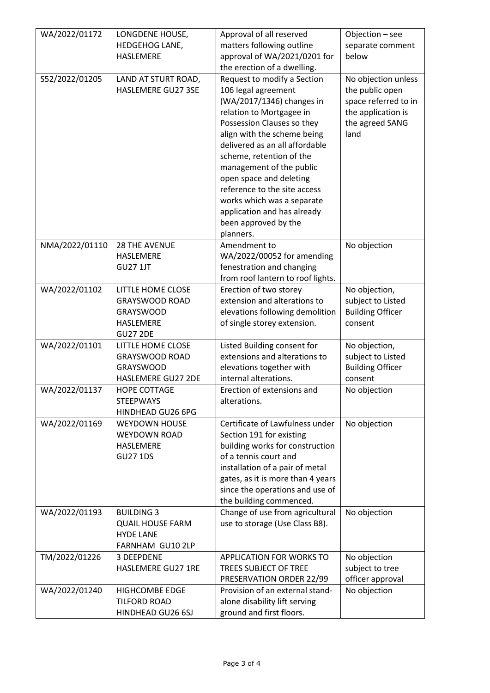| WA/2022/01172  | LONGDENE HOUSE,<br>HEDGEHOG LANE,<br><b>HASLEMERE</b>                                                 | Approval of all reserved<br>matters following outline<br>approval of WA/2021/0201 for<br>the erection of a dwelling.                                                                                                                                                                                                                                                                                                            | Objection - see<br>separate comment<br>below                                                                    |
|----------------|-------------------------------------------------------------------------------------------------------|---------------------------------------------------------------------------------------------------------------------------------------------------------------------------------------------------------------------------------------------------------------------------------------------------------------------------------------------------------------------------------------------------------------------------------|-----------------------------------------------------------------------------------------------------------------|
| S52/2022/01205 | LAND AT STURT ROAD,<br>HASLEMERE GU27 3SE                                                             | Request to modify a Section<br>106 legal agreement<br>(WA/2017/1346) changes in<br>relation to Mortgagee in<br>Possession Clauses so they<br>align with the scheme being<br>delivered as an all affordable<br>scheme, retention of the<br>management of the public<br>open space and deleting<br>reference to the site access<br>works which was a separate<br>application and has already<br>been approved by the<br>planners. | No objection unless<br>the public open<br>space referred to in<br>the application is<br>the agreed SANG<br>land |
| NMA/2022/01110 | <b>28 THE AVENUE</b><br><b>HASLEMERE</b><br><b>GU27 1JT</b>                                           | Amendment to<br>WA/2022/00052 for amending<br>fenestration and changing<br>from roof lantern to roof lights.                                                                                                                                                                                                                                                                                                                    | No objection                                                                                                    |
| WA/2022/01102  | LITTLE HOME CLOSE<br><b>GRAYSWOOD ROAD</b><br><b>GRAYSWOOD</b><br><b>HASLEMERE</b><br><b>GU27 2DE</b> | Erection of two storey<br>extension and alterations to<br>elevations following demolition<br>of single storey extension.                                                                                                                                                                                                                                                                                                        | No objection,<br>subject to Listed<br><b>Building Officer</b><br>consent                                        |
| WA/2022/01101  | LITTLE HOME CLOSE<br><b>GRAYSWOOD ROAD</b><br><b>GRAYSWOOD</b><br>HASLEMERE GU27 2DE                  | Listed Building consent for<br>extensions and alterations to<br>elevations together with<br>internal alterations.                                                                                                                                                                                                                                                                                                               | No objection,<br>subject to Listed<br><b>Building Officer</b><br>consent                                        |
| WA/2022/01137  | <b>HOPE COTTAGE</b><br><b>STEEPWAYS</b><br>HINDHEAD GU26 6PG                                          | Erection of extensions and<br>alterations.                                                                                                                                                                                                                                                                                                                                                                                      | No objection                                                                                                    |
| WA/2022/01169  | <b>WEYDOWN HOUSE</b><br><b>WEYDOWN ROAD</b><br>HASLEMERE<br><b>GU27 1DS</b>                           | Certificate of Lawfulness under<br>Section 191 for existing<br>building works for construction<br>of a tennis court and<br>installation of a pair of metal<br>gates, as it is more than 4 years<br>since the operations and use of<br>the building commenced.                                                                                                                                                                   | No objection                                                                                                    |
| WA/2022/01193  | <b>BUILDING 3</b><br><b>QUAIL HOUSE FARM</b><br><b>HYDE LANE</b><br>FARNHAM GU10 2LP                  | Change of use from agricultural<br>use to storage (Use Class B8).                                                                                                                                                                                                                                                                                                                                                               | No objection                                                                                                    |
| TM/2022/01226  | 3 DEEPDENE<br>HASLEMERE GU27 1RE                                                                      | <b>APPLICATION FOR WORKS TO</b><br>TREES SUBJECT OF TREE<br>PRESERVATION ORDER 22/99                                                                                                                                                                                                                                                                                                                                            | No objection<br>subject to tree<br>officer approval                                                             |
| WA/2022/01240  | <b>HIGHCOMBE EDGE</b><br><b>TILFORD ROAD</b><br>HINDHEAD GU26 6SJ                                     | Provision of an external stand-<br>alone disability lift serving<br>ground and first floors.                                                                                                                                                                                                                                                                                                                                    | No objection                                                                                                    |